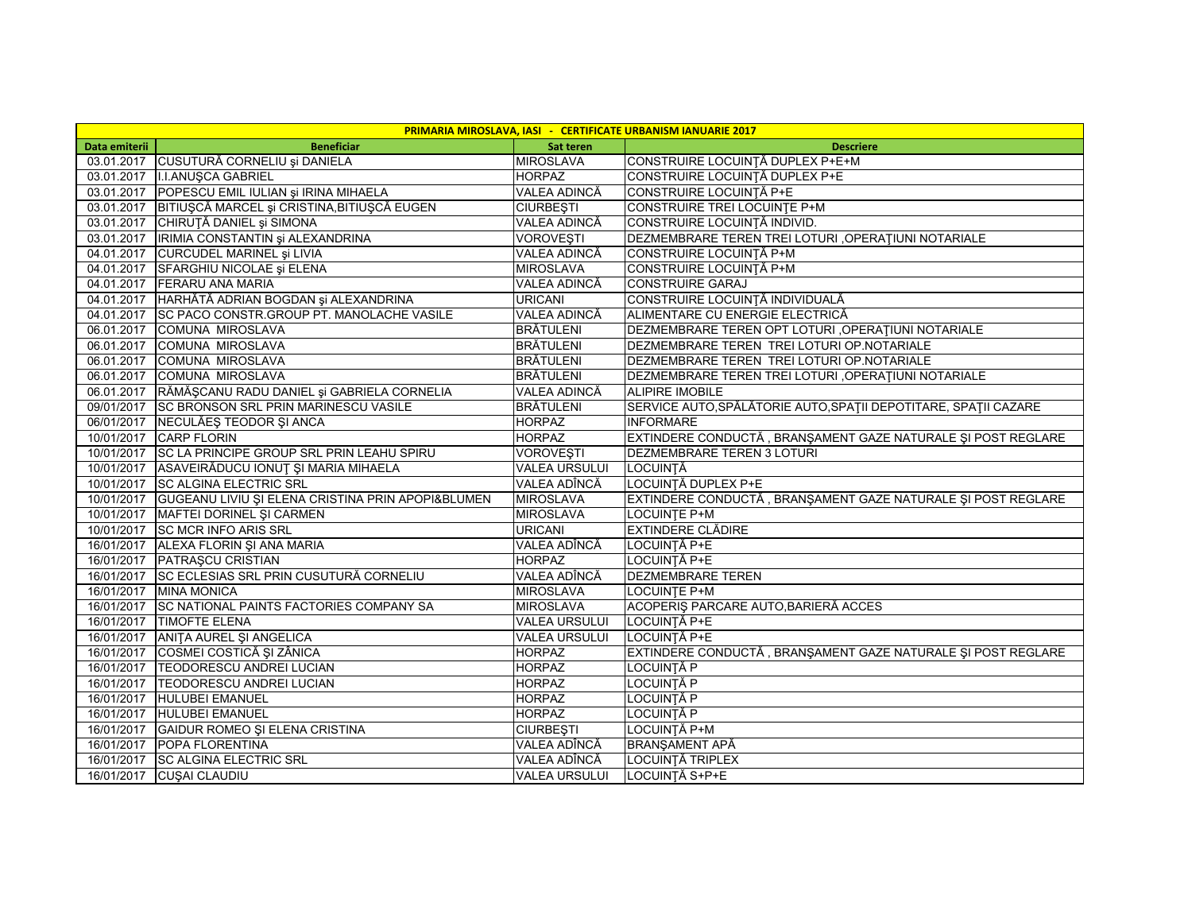| PRIMARIA MIROSLAVA, IASI - CERTIFICATE URBANISM IANUARIE 2017 |                                                              |                      |                                                                 |  |  |  |
|---------------------------------------------------------------|--------------------------------------------------------------|----------------------|-----------------------------------------------------------------|--|--|--|
| Data emiterii                                                 | <b>Beneficiar</b>                                            | Sat teren            | <b>Descriere</b>                                                |  |  |  |
|                                                               | 03.01.2017 CUSUTURĂ CORNELIU și DANIELA                      | <b>MIROSLAVA</b>     | CONSTRUIRE LOCUINȚĂ DUPLEX P+E+M                                |  |  |  |
|                                                               | 03.01.2017   I.I.ANUŞCA GABRIEL                              | <b>HORPAZ</b>        | CONSTRUIRE LOCUINȚĂ DUPLEX P+E                                  |  |  |  |
|                                                               | 03.01.2017 POPESCU EMIL IULIAN și IRINA MIHAELA              | VALEA ADINCĂ         | CONSTRUIRE LOCUINȚĂ P+E                                         |  |  |  |
|                                                               | 03.01.2017 BITIUȘCĂ MARCEL și CRISTINA, BITIUȘCĂ EUGEN       | <b>CIURBEȘTI</b>     | CONSTRUIRE TREI LOCUINTE P+M                                    |  |  |  |
|                                                               | 03.01.2017 CHIRUȚĂ DANIEL și SIMONA                          | <b>VALEA ADINCĂ</b>  | CONSTRUIRE LOCUINTĂ INDIVID.                                    |  |  |  |
|                                                               | 03.01.2017   IRIMIA CONSTANTIN și ALEXANDRINA                | VOROVEŞTI            | DEZMEMBRARE TEREN TREI LOTURI , OPERAȚIUNI NOTARIALE            |  |  |  |
|                                                               | 04.01.2017 CURCUDEL MARINEL și LIVIA                         | VALEA ADINCĂ         | CONSTRUIRE LOCUINȚĂ P+M                                         |  |  |  |
|                                                               | 04.01.2017 SFARGHIU NICOLAE și ELENA                         | <b>MIROSLAVA</b>     | CONSTRUIRE LOCUINȚĂ P+M                                         |  |  |  |
|                                                               | 04.01.2017 FERARU ANA MARIA                                  | VALEA ADINCĂ         | <b>CONSTRUIRE GARAJ</b>                                         |  |  |  |
|                                                               | 04.01.2017 HARHĂTĂ ADRIAN BOGDAN și ALEXANDRINA              | <b>URICANI</b>       | CONSTRUIRE LOCUINȚĂ INDIVIDUALĂ                                 |  |  |  |
|                                                               | 04.01.2017 SC PACO CONSTR.GROUP PT. MANOLACHE VASILE         | VALEA ADINCĂ         | ALIMENTARE CU ENERGIE ELECTRICĂ                                 |  |  |  |
|                                                               | 06.01.2017 COMUNA MIROSLAVA                                  | <b>BRÄTULENI</b>     | DEZMEMBRARE TEREN OPT LOTURI, OPERATIUNI NOTARIALE              |  |  |  |
|                                                               | 06.01.2017 COMUNA MIROSLAVA                                  | <b>BRÄTULENI</b>     | DEZMEMBRARE TEREN TREI LOTURI OP.NOTARIALE                      |  |  |  |
|                                                               | 06.01.2017 COMUNA MIROSLAVA                                  | <b>BRÄTULENI</b>     | DEZMEMBRARE TEREN TREI LOTURI OP.NOTARIALE                      |  |  |  |
|                                                               | 06.01.2017 COMUNA MIROSLAVA                                  | <b>BRÄTULENI</b>     | DEZMEMBRARE TEREN TREI LOTURI, OPERAȚIUNI NOTARIALE             |  |  |  |
|                                                               | 06.01.2017   RĂMĂȘCANU RADU DANIEL și GABRIELA CORNELIA      | VALEA ADINCĂ         | <b>ALIPIRE IMOBILE</b>                                          |  |  |  |
|                                                               | 09/01/2017 SC BRONSON SRL PRIN MARINESCU VASILE              | <b>BRÄTULENI</b>     | SERVICE AUTO, SPĂLĂTORIE AUTO, SPAȚII DEPOTITARE, SPAȚII CAZARE |  |  |  |
|                                                               | 06/01/2017 NECULĂEȘ TEODOR ȘI ANCA                           | <b>HORPAZ</b>        | <b>INFORMARE</b>                                                |  |  |  |
|                                                               | 10/01/2017 CARP FLORIN                                       | <b>HORPAZ</b>        | EXTINDERE CONDUCTĂ, BRANȘAMENT GAZE NATURALE ȘI POST REGLARE    |  |  |  |
|                                                               | 10/01/2017 SC LA PRINCIPE GROUP SRL PRIN LEAHU SPIRU         | <b>VOROVESTI</b>     | <b>DEZMEMBRARE TEREN 3 LOTURI</b>                               |  |  |  |
|                                                               | 10/01/2017 ASAVEIRĂDUCU IONUȚ ȘI MARIA MIHAELA               | <b>VALEA URSULUI</b> | LOCUINTĂ                                                        |  |  |  |
|                                                               | 10/01/2017 SC ALGINA ELECTRIC SRL                            | VALEA ADÎNCĂ         | LOCUINȚĂ DUPLEX P+E                                             |  |  |  |
|                                                               | 10/01/2017 GUGEANU LIVIU ȘI ELENA CRISTINA PRIN APOPI&BLUMEN | <b>MIROSLAVA</b>     | EXTINDERE CONDUCTĂ, BRANȘAMENT GAZE NATURALE ȘI POST REGLARE    |  |  |  |
|                                                               | 10/01/2017   MAFTEI DORINEL ŞI CARMEN                        | <b>MIROSLAVA</b>     | <b>LOCUINTE P+M</b>                                             |  |  |  |
|                                                               | 10/01/2017 SC MCR INFO ARIS SRL                              | <b>URICANI</b>       | <b>EXTINDERE CLĂDIRE</b>                                        |  |  |  |
|                                                               | 16/01/2017 ALEXA FLORIN ȘI ANA MARIA                         | VALEA ADÎNCĂ         | LOCUINȚĂ P+E                                                    |  |  |  |
|                                                               | 16/01/2017 PATRAŞCU CRISTIAN                                 | <b>HORPAZ</b>        | LOCUINȚĂ P+E                                                    |  |  |  |
|                                                               | 16/01/2017 SC ECLESIAS SRL PRIN CUSUTURĂ CORNELIU            | VALEA ADÎNCĂ         | <b>DEZMEMBRARE TEREN</b>                                        |  |  |  |
|                                                               | 16/01/2017 MINA MONICA                                       | <b>MIROSLAVA</b>     | <b>LOCUINTE P+M</b>                                             |  |  |  |
|                                                               | 16/01/2017 SC NATIONAL PAINTS FACTORIES COMPANY SA           | <b>MIROSLAVA</b>     | ACOPERIȘ PARCARE AUTO, BARIERĂ ACCES                            |  |  |  |
|                                                               | 16/01/2017 TIMOFTE ELENA                                     | <b>VALEA URSULUI</b> | LOCUINȚĂ P+E                                                    |  |  |  |
|                                                               | 16/01/2017 ANITA AUREL ȘI ANGELICA                           | <b>VALEA URSULUI</b> | LOCUINȚĂ P+E                                                    |  |  |  |
| 16/01/2017                                                    | COSMEI COSTICĂ ȘI ZÂNICA                                     | <b>HORPAZ</b>        | EXTINDERE CONDUCTĂ, BRANȘAMENT GAZE NATURALE ȘI POST REGLARE    |  |  |  |
|                                                               | 16/01/2017 TEODORESCU ANDREI LUCIAN                          | <b>HORPAZ</b>        | LOCUINTĂ P                                                      |  |  |  |
|                                                               | 16/01/2017   TEODORESCU ANDREI LUCIAN                        | <b>HORPAZ</b>        | LOCUINTĂ P                                                      |  |  |  |
| 16/01/2017                                                    | <b>HULUBEI EMANUEL</b>                                       | <b>HORPAZ</b>        | LOCUINȚĂ P                                                      |  |  |  |
|                                                               | 16/01/2017 HULUBEI EMANUEL                                   | <b>HORPAZ</b>        | LOCUINȚĂ P                                                      |  |  |  |
|                                                               | 16/01/2017 GAIDUR ROMEO ȘI ELENA CRISTINA                    | <b>CIURBESTI</b>     | LOCUINȚĂ P+M                                                    |  |  |  |
|                                                               | 16/01/2017 POPA FLORENTINA                                   | VALEA ADÎNCĂ         | <b>BRANŞAMENT APĂ</b>                                           |  |  |  |
|                                                               | 16/01/2017 SC ALGINA ELECTRIC SRL                            | VALEA ADÎNCĂ         | LOCUINTĂ TRIPLEX                                                |  |  |  |
|                                                               | 16/01/2017 CUSAI CLAUDIU                                     | <b>VALEA URSULUI</b> | LOCUINȚĂ S+P+E                                                  |  |  |  |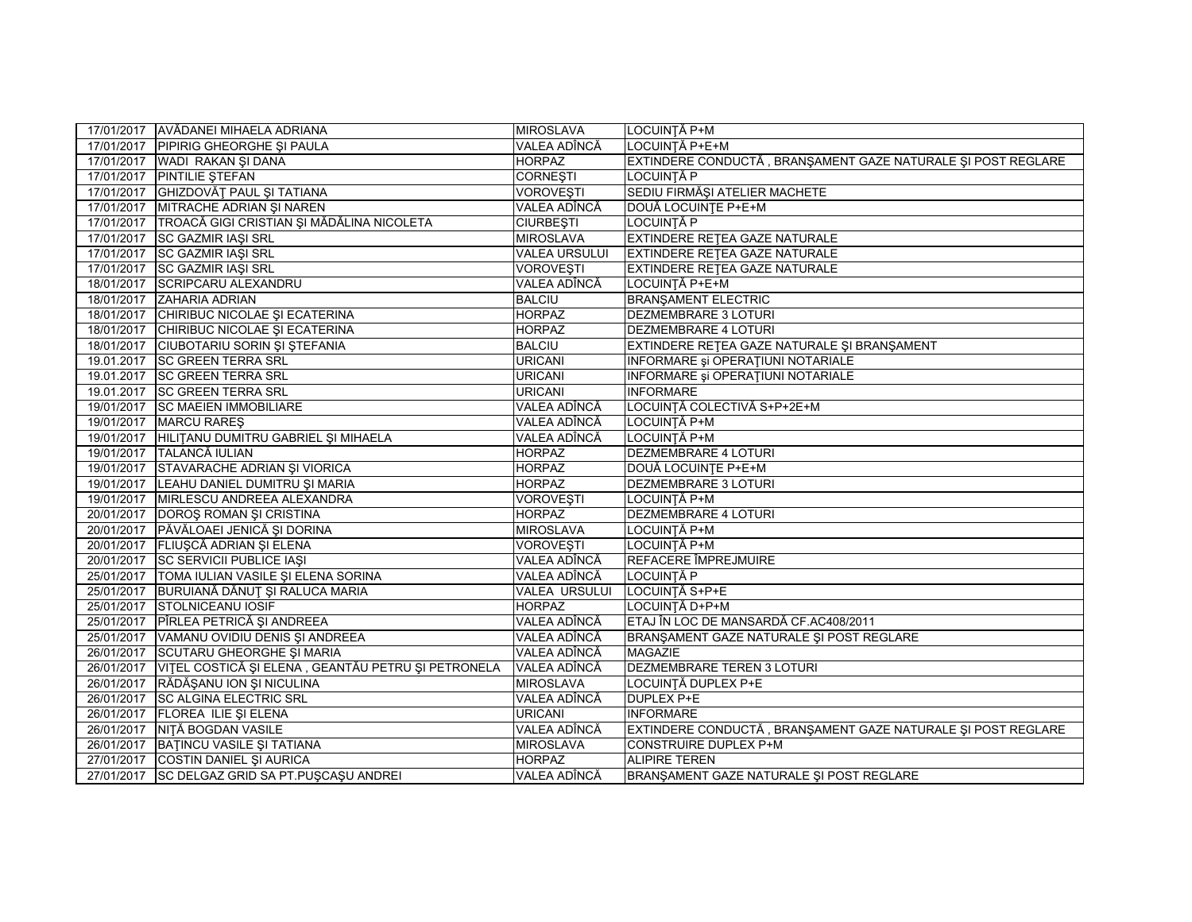|            | 17/01/2017 AVĂDANEI MIHAELA ADRIANA                  | <b>MIROSLAVA</b>     | LOCUINȚĂ P+M                                                 |
|------------|------------------------------------------------------|----------------------|--------------------------------------------------------------|
|            | 17/01/2017 PIPIRIG GHEORGHE SI PAULA                 | VALEA ADÎNCĂ         | LOCUINȚĂ P+E+M                                               |
|            | 17/01/2017 WADI RAKAN ŞI DANA                        | <b>HORPAZ</b>        | EXTINDERE CONDUCTĂ, BRANȘAMENT GAZE NATURALE ȘI POST REGLARE |
|            | 17/01/2017 PINTILIE STEFAN                           | <b>CORNEȘTI</b>      | LOCUINȚĂ P                                                   |
|            | 17/01/2017 GHIZDOVĂȚ PAUL ȘI TATIANA                 | <b>VOROVEŞTI</b>     | SEDIU FIRMĂȘI ATELIER MACHETE                                |
|            | 17/01/2017 MITRACHE ADRIAN ŞI NAREN                  | <b>VALEA ADÎNCĂ</b>  | DOUĂ LOCUINȚE P+E+M                                          |
|            | 17/01/2017 TROACĂ GIGI CRISTIAN ȘI MĂDĂLINA NICOLETA | <b>CIURBEȘTI</b>     | LOCUINȚĂ P                                                   |
| 17/01/2017 | SC GAZMIR IAŞI SRL                                   | <b>MIROSLAVA</b>     | EXTINDERE RETEA GAZE NATURALE                                |
|            | 17/01/2017 SC GAZMIR IAŞI SRL                        | <b>VALEA URSULUI</b> | EXTINDERE RETEA GAZE NATURALE                                |
| 17/01/2017 | <b>SC GAZMIR IASI SRL</b>                            | <b>VOROVESTI</b>     | EXTINDERE RETEA GAZE NATURALE                                |
| 18/01/2017 | <b>SCRIPCARU ALEXANDRU</b>                           | VALEA ADÎNCĂ         | LOCUINȚĂ P+E+M                                               |
| 18/01/2017 | ZAHARIA ADRIAN                                       | <b>BALCIU</b>        | <b>BRANŞAMENT ELECTRIC</b>                                   |
| 18/01/2017 | CHIRIBUC NICOLAE ȘI ECATERINA                        | <b>HORPAZ</b>        | <b>DEZMEMBRARE 3 LOTURI</b>                                  |
| 18/01/2017 | CHIRIBUC NICOLAE ȘI ECATERINA                        | <b>HORPAZ</b>        | <b>DEZMEMBRARE 4 LOTURI</b>                                  |
| 18/01/2017 | <b>CIUBOTARIU SORIN ȘI ȘTEFANIA</b>                  | <b>BALCIU</b>        | EXTINDERE REȚEA GAZE NATURALE ȘI BRANȘAMENT                  |
| 19.01.2017 | <b>SC GREEN TERRA SRL</b>                            | <b>URICANI</b>       | INFORMARE și OPERAȚIUNI NOTARIALE                            |
| 19.01.2017 | <b>SC GREEN TERRA SRL</b>                            | <b>URICANI</b>       | INFORMARE și OPERAȚIUNI NOTARIALE                            |
|            | 19.01.2017 SC GREEN TERRA SRL                        | <b>URICANI</b>       | <b>INFORMARE</b>                                             |
|            | 19/01/2017 SC MAEIEN IMMOBILIARE                     | VALEA ADÎNCĂ         | LOCUINȚĂ COLECTIVĂ S+P+2E+M                                  |
| 19/01/2017 | <b>MARCU RARES</b>                                   | VALEA ADÎNCĂ         | LOCUINȚĂ P+M                                                 |
| 19/01/2017 | HILITANU DUMITRU GABRIEL ȘI MIHAELA                  | VALEA ADÎNCĂ         | LOCUINȚĂ P+M                                                 |
| 19/01/2017 | TALANCĂ IULIAN                                       | <b>HORPAZ</b>        | <b>DEZMEMBRARE 4 LOTURI</b>                                  |
| 19/01/2017 | STAVARACHE ADRIAN ȘI VIORICA                         | <b>HORPAZ</b>        | DOUĂ LOCUINȚE P+E+M                                          |
|            | 19/01/2017 LEAHU DANIEL DUMITRU ȘI MARIA             | <b>HORPAZ</b>        | <b>DEZMEMBRARE 3 LOTURI</b>                                  |
|            | 19/01/2017 MIRLESCU ANDREEA ALEXANDRA                | <b>VOROVEŞTI</b>     | LOCUINȚĂ P+M                                                 |
|            | 20/01/2017 DOROŞ ROMAN ŞI CRISTINA                   | <b>HORPAZ</b>        | <b>DEZMEMBRARE 4 LOTURI</b>                                  |
|            | 20/01/2017   PĂVĂLOAEI JENICĂ ȘI DORINA              | <b>MIROSLAVA</b>     | LOCUINȚĂ P+M                                                 |
|            | 20/01/2017 FLIUŞCĂ ADRIAN ȘI ELENA                   | <b>VOROVEȘTI</b>     | LOCUINȚĂ P+M                                                 |
|            | 20/01/2017 SC SERVICII PUBLICE IAȘI                  | VALEA ADÎNCĂ         | REFACERE ÎMPREJMUIRE                                         |
|            | 25/01/2017 TOMA IULIAN VASILE ȘI ELENA SORINA        | VALEA ADÎNCĂ         | LOCUINTĂ P                                                   |
|            | 25/01/2017 BURUIANĂ DĂNUȚ ȘI RALUCA MARIA            | VALEA URSULUI        | LOCUINȚĂ S+P+E                                               |
|            | 25/01/2017 STOLNICEANU IOSIF                         | <b>HORPAZ</b>        | LOCUINȚĂ D+P+M                                               |
|            | 25/01/2017 PÎRLEA PETRICĂ ȘI ANDREEA                 | VALEA ADÎNCĂ         | ETAJ ÎN LOC DE MANSARDĂ CF.AC408/2011                        |
|            | 25/01/2017 VAMANU OVIDIU DENIS ȘI ANDREEA            | VALEA ADÎNCĂ         | BRANŞAMENT GAZE NATURALE ŞI POST REGLARE                     |
|            | 26/01/2017 SCUTARU GHEORGHE ȘI MARIA                 | VALEA ADÎNCĂ         | <b>MAGAZIE</b>                                               |
| 26/01/2017 | VITEL COSTICĂ ȘI ELENA, GEANTĂU PETRU ȘI PETRONELA   | VALEA ADÎNCĂ         | DEZMEMBRARE TEREN 3 LOTURI                                   |
| 26/01/2017 | RĂDĂŞANU ION ȘI NICULINA                             | <b>MIROSLAVA</b>     | LOCUINȚĂ DUPLEX P+E                                          |
| 26/01/2017 | <b>SC ALGINA ELECTRIC SRL</b>                        | VALEA ADÎNCĂ         | <b>DUPLEX P+E</b>                                            |
| 26/01/2017 | FLOREA ILIE ȘI ELENA                                 | <b>URICANI</b>       | <b>INFORMARE</b>                                             |
|            | 26/01/2017 NITĂ BOGDAN VASILE                        | VALEA ADÎNCĂ         | EXTINDERE CONDUCTĂ, BRANȘAMENT GAZE NATURALE ȘI POST REGLARE |
| 26/01/2017 | BATINCU VASILE ȘI TATIANA                            | <b>MIROSLAVA</b>     | <b>CONSTRUIRE DUPLEX P+M</b>                                 |
|            | 27/01/2017 COSTIN DANIEL ȘI AURICA                   | <b>HORPAZ</b>        | <b>ALIPIRE TEREN</b>                                         |
|            | 27/01/2017 SC DELGAZ GRID SA PT.PUŞCAŞU ANDREI       | VALEA ADÎNCĂ         | BRANŞAMENT GAZE NATURALE ŞI POST REGLARE                     |